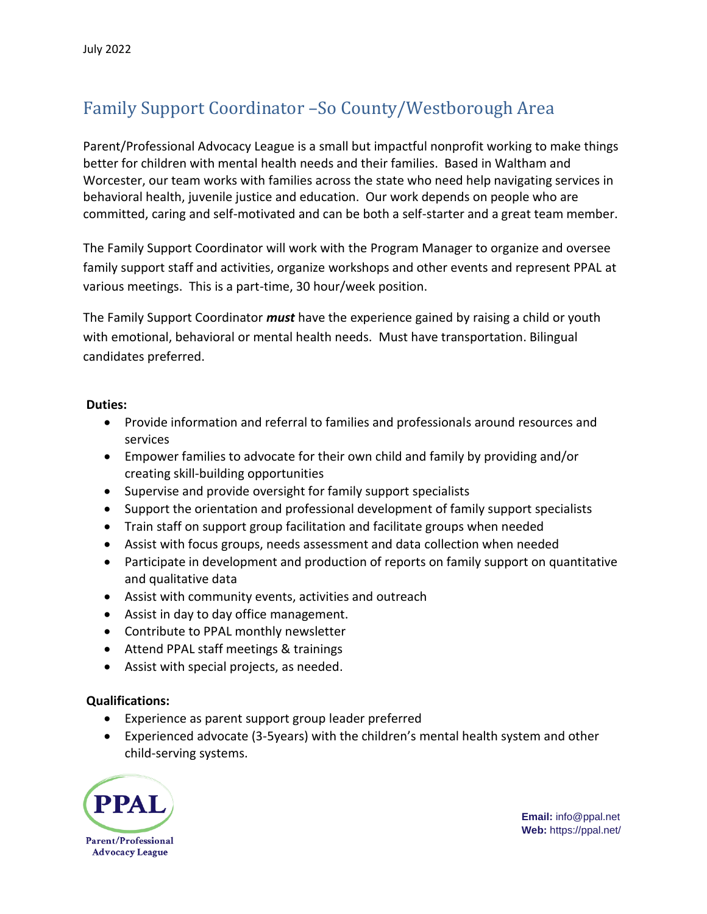## Family Support Coordinator –So County/Westborough Area

Parent/Professional Advocacy League is a small but impactful nonprofit working to make things better for children with mental health needs and their families. Based in Waltham and Worcester, our team works with families across the state who need help navigating services in behavioral health, juvenile justice and education. Our work depends on people who are committed, caring and self-motivated and can be both a self-starter and a great team member.

The Family Support Coordinator will work with the Program Manager to organize and oversee family support staff and activities, organize workshops and other events and represent PPAL at various meetings. This is a part-time, 30 hour/week position.

The Family Support Coordinator *must* have the experience gained by raising a child or youth with emotional, behavioral or mental health needs. Must have transportation. Bilingual candidates preferred.

## **Duties:**

- Provide information and referral to families and professionals around resources and services
- Empower families to advocate for their own child and family by providing and/or creating skill-building opportunities
- Supervise and provide oversight for family support specialists
- Support the orientation and professional development of family support specialists
- Train staff on support group facilitation and facilitate groups when needed
- Assist with focus groups, needs assessment and data collection when needed
- Participate in development and production of reports on family support on quantitative and qualitative data
- Assist with community events, activities and outreach
- Assist in day to day office management.
- Contribute to PPAL monthly newsletter
- Attend PPAL staff meetings & trainings
- Assist with special projects, as needed.

## **Qualifications:**

- Experience as parent support group leader preferred
- Experienced advocate (3-5years) with the children's mental health system and other child-serving systems.



**Email:** info@ppal.net **Web:** https://ppal.net/